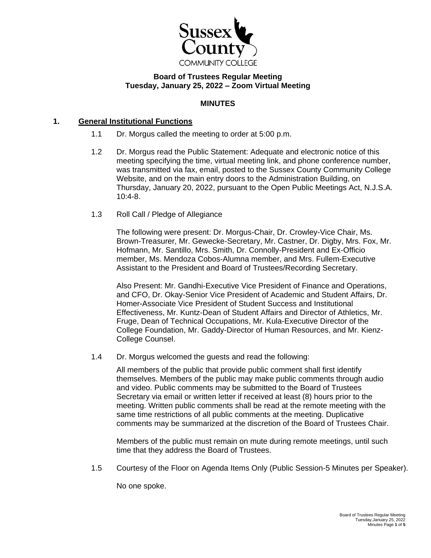

# **Board of Trustees Regular Meeting Tuesday, January 25, 2022 – Zoom Virtual Meeting**

## **MINUTES**

## **1. General Institutional Functions**

- 1.1 Dr. Morgus called the meeting to order at 5:00 p.m.
- 1.2 Dr. Morgus read the Public Statement: Adequate and electronic notice of this meeting specifying the time, virtual meeting link, and phone conference number, was transmitted via fax, email, posted to the Sussex County Community College Website, and on the main entry doors to the Administration Building, on Thursday, January 20, 2022, pursuant to the Open Public Meetings Act, N.J.S.A. 10:4-8.
- 1.3 Roll Call / Pledge of Allegiance

The following were present: Dr. Morgus-Chair, Dr. Crowley-Vice Chair, Ms. Brown-Treasurer, Mr. Gewecke-Secretary, Mr. Castner, Dr. Digby, Mrs. Fox, Mr. Hofmann, Mr. Santillo, Mrs. Smith, Dr. Connolly-President and Ex-Officio member, Ms. Mendoza Cobos-Alumna member, and Mrs. Fullem-Executive Assistant to the President and Board of Trustees/Recording Secretary.

Also Present: Mr. Gandhi-Executive Vice President of Finance and Operations, and CFO, Dr. Okay-Senior Vice President of Academic and Student Affairs, Dr. Homer-Associate Vice President of Student Success and Institutional Effectiveness, Mr. Kuntz-Dean of Student Affairs and Director of Athletics, Mr. Fruge, Dean of Technical Occupations, Mr. Kula-Executive Director of the College Foundation, Mr. Gaddy-Director of Human Resources, and Mr. Kienz-College Counsel.

1.4 Dr. Morgus welcomed the guests and read the following:

All members of the public that provide public comment shall first identify themselves. Members of the public may make public comments through audio and video. Public comments may be submitted to the Board of Trustees Secretary via email or written letter if received at least (8) hours prior to the meeting. Written public comments shall be read at the remote meeting with the same time restrictions of all public comments at the meeting. Duplicative comments may be summarized at the discretion of the Board of Trustees Chair.

Members of the public must remain on mute during remote meetings, until such time that they address the Board of Trustees.

1.5 Courtesy of the Floor on Agenda Items Only (Public Session-5 Minutes per Speaker).

No one spoke.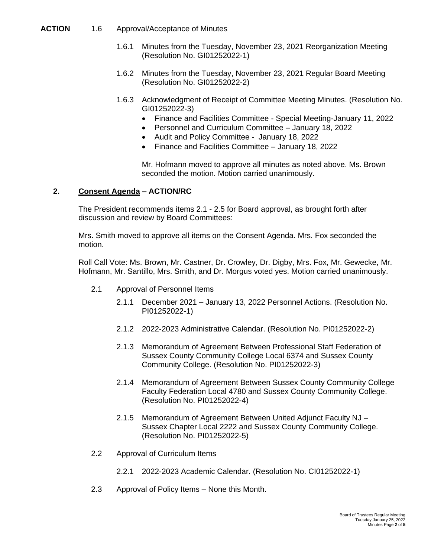#### **ACTION** 1.6 Approval/Acceptance of Minutes

- 1.6.1 Minutes from the Tuesday, November 23, 2021 Reorganization Meeting (Resolution No. GI01252022-1)
- 1.6.2 Minutes from the Tuesday, November 23, 2021 Regular Board Meeting (Resolution No. GI01252022-2)
- 1.6.3 Acknowledgment of Receipt of Committee Meeting Minutes. (Resolution No. GI01252022-3)
	- Finance and Facilities Committee Special Meeting-January 11, 2022
	- Personnel and Curriculum Committee January 18, 2022
	- Audit and Policy Committee January 18, 2022
	- Finance and Facilities Committee January 18, 2022

Mr. Hofmann moved to approve all minutes as noted above. Ms. Brown seconded the motion. Motion carried unanimously.

## **2. Consent Agenda – ACTION/RC**

The President recommends items 2.1 - 2.5 for Board approval, as brought forth after discussion and review by Board Committees:

Mrs. Smith moved to approve all items on the Consent Agenda. Mrs. Fox seconded the motion.

Roll Call Vote: Ms. Brown, Mr. Castner, Dr. Crowley, Dr. Digby, Mrs. Fox, Mr. Gewecke, Mr. Hofmann, Mr. Santillo, Mrs. Smith, and Dr. Morgus voted yes. Motion carried unanimously.

- 2.1 Approval of Personnel Items
	- 2.1.1 December 2021 January 13, 2022 Personnel Actions. (Resolution No. PI01252022-1)
	- 2.1.2 2022-2023 Administrative Calendar. (Resolution No. PI01252022-2)
	- 2.1.3 Memorandum of Agreement Between Professional Staff Federation of Sussex County Community College Local 6374 and Sussex County Community College. (Resolution No. PI01252022-3)
	- 2.1.4 Memorandum of Agreement Between Sussex County Community College Faculty Federation Local 4780 and Sussex County Community College. (Resolution No. PI01252022-4)
	- 2.1.5 Memorandum of Agreement Between United Adjunct Faculty NJ Sussex Chapter Local 2222 and Sussex County Community College. (Resolution No. PI01252022-5)
- 2.2 Approval of Curriculum Items
	- 2.2.1 2022-2023 Academic Calendar. (Resolution No. CI01252022-1)
- 2.3 Approval of Policy Items None this Month.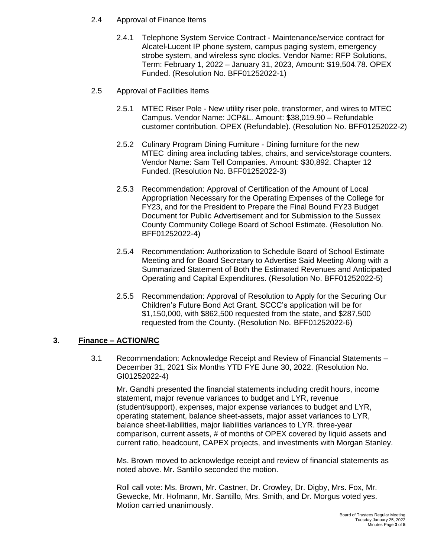- 2.4 Approval of Finance Items
	- 2.4.1 Telephone System Service Contract Maintenance/service contract for Alcatel-Lucent IP phone system, campus paging system, emergency strobe system, and wireless sync clocks. Vendor Name: RFP Solutions, Term: February 1, 2022 – January 31, 2023, Amount: \$19,504.78. OPEX Funded. (Resolution No. BFF01252022-1)
- 2.5 Approval of Facilities Items
	- 2.5.1 MTEC Riser Pole New utility riser pole, transformer, and wires to MTEC Campus. Vendor Name: JCP&L. Amount: \$38,019.90 – Refundable customer contribution. OPEX (Refundable). (Resolution No. BFF01252022-2)
	- 2.5.2 Culinary Program Dining Furniture Dining furniture for the new MTEC dining area including tables, chairs, and service/storage counters. Vendor Name: Sam Tell Companies. Amount: \$30,892. Chapter 12 Funded. (Resolution No. BFF01252022-3)
	- 2.5.3 Recommendation: Approval of Certification of the Amount of Local Appropriation Necessary for the Operating Expenses of the College for FY23, and for the President to Prepare the Final Bound FY23 Budget Document for Public Advertisement and for Submission to the Sussex County Community College Board of School Estimate. (Resolution No. BFF01252022-4)
	- 2.5.4 Recommendation: Authorization to Schedule Board of School Estimate Meeting and for Board Secretary to Advertise Said Meeting Along with a Summarized Statement of Both the Estimated Revenues and Anticipated Operating and Capital Expenditures. (Resolution No. BFF01252022-5)
	- 2.5.5 Recommendation: Approval of Resolution to Apply for the Securing Our Children's Future Bond Act Grant. SCCC's application will be for \$1,150,000, with \$862,500 requested from the state, and \$287,500 requested from the County. (Resolution No. BFF01252022-6)

# **3**. **Finance – ACTION/RC**

3.1 Recommendation: Acknowledge Receipt and Review of Financial Statements – December 31, 2021 Six Months YTD FYE June 30, 2022. (Resolution No. GI01252022-4)

Mr. Gandhi presented the financial statements including credit hours, income statement, major revenue variances to budget and LYR, revenue (student/support), expenses, major expense variances to budget and LYR, operating statement, balance sheet-assets, major asset variances to LYR, balance sheet-liabilities, major liabilities variances to LYR. three-year comparison, current assets, # of months of OPEX covered by liquid assets and current ratio, headcount, CAPEX projects, and investments with Morgan Stanley.

Ms. Brown moved to acknowledge receipt and review of financial statements as noted above. Mr. Santillo seconded the motion.

Roll call vote: Ms. Brown, Mr. Castner, Dr. Crowley, Dr. Digby, Mrs. Fox, Mr. Gewecke, Mr. Hofmann, Mr. Santillo, Mrs. Smith, and Dr. Morgus voted yes. Motion carried unanimously.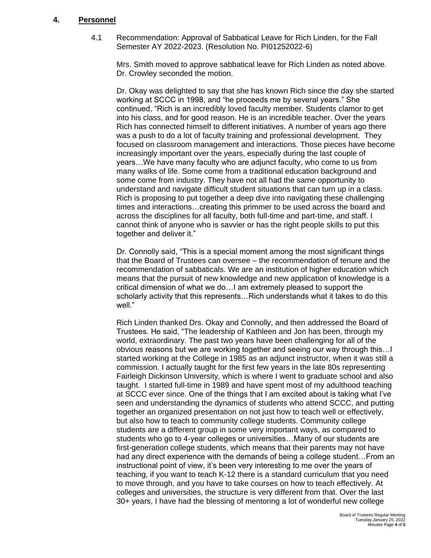#### **4. Personnel**

4.1 Recommendation: Approval of Sabbatical Leave for Rich Linden, for the Fall Semester AY 2022-2023. (Resolution No. PI01252022-6)

Mrs. Smith moved to approve sabbatical leave for Rich Linden as noted above. Dr. Crowley seconded the motion.

Dr. Okay was delighted to say that she has known Rich since the day she started working at SCCC in 1998, and "he proceeds me by several years." She continued, "Rich is an incredibly loved faculty member. Students clamor to get into his class, and for good reason. He is an incredible teacher. Over the years Rich has connected himself to different initiatives. A number of years ago there was a push to do a lot of faculty training and professional development. They focused on classroom management and interactions. Those pieces have become increasingly important over the years, especially during the last couple of years…We have many faculty who are adjunct faculty, who come to us from many walks of life. Some come from a traditional education background and some come from industry. They have not all had the same opportunity to understand and navigate difficult student situations that can turn up in a class. Rich is proposing to put together a deep dive into navigating these challenging times and interactions…creating this primmer to be used across the board and across the disciplines for all faculty, both full-time and part-time, and staff. I cannot think of anyone who is savvier or has the right people skills to put this together and deliver it."

Dr. Connolly said, "This is a special moment among the most significant things that the Board of Trustees can oversee – the recommendation of tenure and the recommendation of sabbaticals. We are an institution of higher education which means that the pursuit of new knowledge and new application of knowledge is a critical dimension of what we do…I am extremely pleased to support the scholarly activity that this represents…Rich understands what it takes to do this well."

Rich Linden thanked Drs. Okay and Connolly, and then addressed the Board of Trustees. He said, "The leadership of Kathleen and Jon has been, through my world, extraordinary. The past two years have been challenging for all of the obvious reasons but we are working together and seeing our way through this…I started working at the College in 1985 as an adjunct instructor, when it was still a commission. I actually taught for the first few years in the late 80s representing Fairleigh Dickinson University, which is where I went to graduate school and also taught. I started full-time in 1989 and have spent most of my adulthood teaching at SCCC ever since. One of the things that I am excited about is taking what I've seen and understanding the dynamics of students who attend SCCC, and putting together an organized presentation on not just how to teach well or effectively, but also how to teach to community college students. Community college students are a different group in some very important ways, as compared to students who go to 4-year colleges or universities…Many of our students are first-generation college students, which means that their parents may not have had any direct experience with the demands of being a college student…From an instructional point of view, it's been very interesting to me over the years of teaching, if you want to teach K-12 there is a standard curriculum that you need to move through, and you have to take courses on how to teach effectively. At colleges and universities, the structure is very different from that. Over the last 30+ years, I have had the blessing of mentoring a lot of wonderful new college